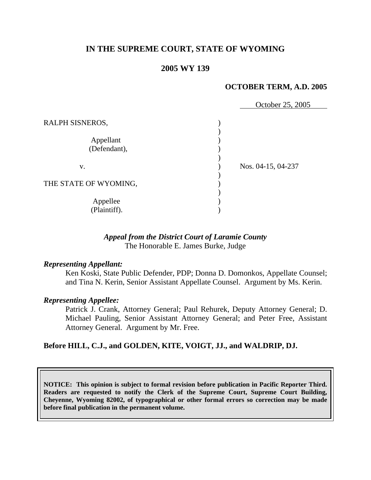## **IN THE SUPREME COURT, STATE OF WYOMING**

### **2005 WY 139**

#### **OCTOBER TERM, A.D. 2005**

|                       | October 25, 2005   |  |
|-----------------------|--------------------|--|
| RALPH SISNEROS,       |                    |  |
|                       |                    |  |
| Appellant             |                    |  |
| (Defendant),          |                    |  |
|                       |                    |  |
| V.                    | Nos. 04-15, 04-237 |  |
|                       |                    |  |
| THE STATE OF WYOMING, |                    |  |
|                       |                    |  |
| Appellee              |                    |  |
| (Plaintiff).          |                    |  |

### *Appeal from the District Court of Laramie County* The Honorable E. James Burke, Judge

#### *Representing Appellant:*

 Ken Koski, State Public Defender, PDP; Donna D. Domonkos, Appellate Counsel; and Tina N. Kerin, Senior Assistant Appellate Counsel. Argument by Ms. Kerin.

#### *Representing Appellee:*

 Patrick J. Crank, Attorney General; Paul Rehurek, Deputy Attorney General; D. Michael Pauling, Senior Assistant Attorney General; and Peter Free, Assistant Attorney General. Argument by Mr. Free.

### **Before HILL, C.J., and GOLDEN, KITE, VOIGT, JJ., and WALDRIP, DJ.**

**NOTICE: This opinion is subject to formal revision before publication in Pacific Reporter Third. Readers are requested to notify the Clerk of the Supreme Court, Supreme Court Building, Cheyenne, Wyoming 82002, of typographical or other formal errors so correction may be made before final publication in the permanent volume.**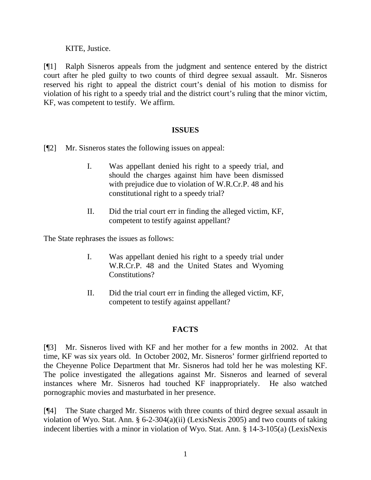## KITE, Justice.

[¶1] Ralph Sisneros appeals from the judgment and sentence entered by the district court after he pled guilty to two counts of third degree sexual assault. Mr. Sisneros reserved his right to appeal the district court's denial of his motion to dismiss for violation of his right to a speedy trial and the district court's ruling that the minor victim, KF, was competent to testify. We affirm.

### **ISSUES**

- [¶2] Mr. Sisneros states the following issues on appeal:
	- I. Was appellant denied his right to a speedy trial, and should the charges against him have been dismissed with prejudice due to violation of W.R.Cr.P. 48 and his constitutional right to a speedy trial?
	- II. Did the trial court err in finding the alleged victim, KF, competent to testify against appellant?

The State rephrases the issues as follows:

- I. Was appellant denied his right to a speedy trial under W.R.Cr.P. 48 and the United States and Wyoming Constitutions?
- II. Did the trial court err in finding the alleged victim, KF, competent to testify against appellant?

## **FACTS**

[¶3] Mr. Sisneros lived with KF and her mother for a few months in 2002. At that time, KF was six years old. In October 2002, Mr. Sisneros' former girlfriend reported to the Cheyenne Police Department that Mr. Sisneros had told her he was molesting KF. The police investigated the allegations against Mr. Sisneros and learned of several instances where Mr. Sisneros had touched KF inappropriately. He also watched pornographic movies and masturbated in her presence.

[¶4] The State charged Mr. Sisneros with three counts of third degree sexual assault in violation of Wyo. Stat. Ann. § 6-2-304(a)(ii) (LexisNexis 2005) and two counts of taking indecent liberties with a minor in violation of Wyo. Stat. Ann. § 14-3-105(a) (LexisNexis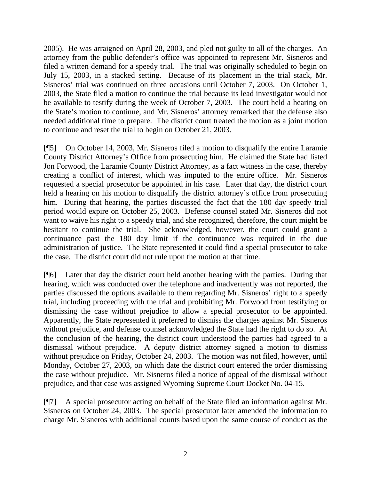2005). He was arraigned on April 28, 2003, and pled not guilty to all of the charges. An attorney from the public defender's office was appointed to represent Mr. Sisneros and filed a written demand for a speedy trial. The trial was originally scheduled to begin on July 15, 2003, in a stacked setting. Because of its placement in the trial stack, Mr. Sisneros' trial was continued on three occasions until October 7, 2003. On October 1, 2003, the State filed a motion to continue the trial because its lead investigator would not be available to testify during the week of October 7, 2003. The court held a hearing on the State's motion to continue, and Mr. Sisneros' attorney remarked that the defense also needed additional time to prepare. The district court treated the motion as a joint motion to continue and reset the trial to begin on October 21, 2003.

[¶5] On October 14, 2003, Mr. Sisneros filed a motion to disqualify the entire Laramie County District Attorney's Office from prosecuting him. He claimed the State had listed Jon Forwood, the Laramie County District Attorney, as a fact witness in the case, thereby creating a conflict of interest, which was imputed to the entire office. Mr. Sisneros requested a special prosecutor be appointed in his case. Later that day, the district court held a hearing on his motion to disqualify the district attorney's office from prosecuting him. During that hearing, the parties discussed the fact that the 180 day speedy trial period would expire on October 25, 2003. Defense counsel stated Mr. Sisneros did not want to waive his right to a speedy trial, and she recognized, therefore, the court might be hesitant to continue the trial. She acknowledged, however, the court could grant a continuance past the 180 day limit if the continuance was required in the due administration of justice. The State represented it could find a special prosecutor to take the case. The district court did not rule upon the motion at that time.

[¶6] Later that day the district court held another hearing with the parties. During that hearing, which was conducted over the telephone and inadvertently was not reported, the parties discussed the options available to them regarding Mr. Sisneros' right to a speedy trial, including proceeding with the trial and prohibiting Mr. Forwood from testifying or dismissing the case without prejudice to allow a special prosecutor to be appointed. Apparently, the State represented it preferred to dismiss the charges against Mr. Sisneros without prejudice, and defense counsel acknowledged the State had the right to do so. At the conclusion of the hearing, the district court understood the parties had agreed to a dismissal without prejudice. A deputy district attorney signed a motion to dismiss without prejudice on Friday, October 24, 2003. The motion was not filed, however, until Monday, October 27, 2003, on which date the district court entered the order dismissing the case without prejudice. Mr. Sisneros filed a notice of appeal of the dismissal without prejudice, and that case was assigned Wyoming Supreme Court Docket No. 04-15.

[¶7] A special prosecutor acting on behalf of the State filed an information against Mr. Sisneros on October 24, 2003. The special prosecutor later amended the information to charge Mr. Sisneros with additional counts based upon the same course of conduct as the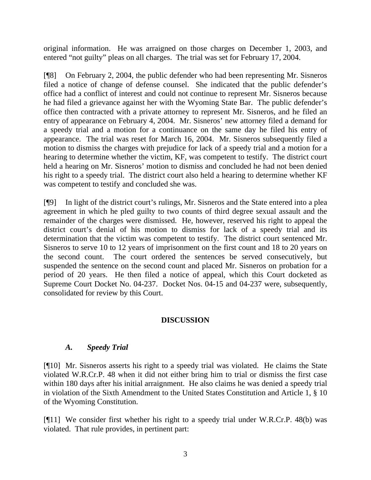original information. He was arraigned on those charges on December 1, 2003, and entered "not guilty" pleas on all charges. The trial was set for February 17, 2004.

[¶8] On February 2, 2004, the public defender who had been representing Mr. Sisneros filed a notice of change of defense counsel. She indicated that the public defender's office had a conflict of interest and could not continue to represent Mr. Sisneros because he had filed a grievance against her with the Wyoming State Bar. The public defender's office then contracted with a private attorney to represent Mr. Sisneros, and he filed an entry of appearance on February 4, 2004. Mr. Sisneros' new attorney filed a demand for a speedy trial and a motion for a continuance on the same day he filed his entry of appearance. The trial was reset for March 16, 2004. Mr. Sisneros subsequently filed a motion to dismiss the charges with prejudice for lack of a speedy trial and a motion for a hearing to determine whether the victim, KF, was competent to testify. The district court held a hearing on Mr. Sisneros' motion to dismiss and concluded he had not been denied his right to a speedy trial. The district court also held a hearing to determine whether KF was competent to testify and concluded she was.

[¶9] In light of the district court's rulings, Mr. Sisneros and the State entered into a plea agreement in which he pled guilty to two counts of third degree sexual assault and the remainder of the charges were dismissed. He, however, reserved his right to appeal the district court's denial of his motion to dismiss for lack of a speedy trial and its determination that the victim was competent to testify. The district court sentenced Mr. Sisneros to serve 10 to 12 years of imprisonment on the first count and 18 to 20 years on the second count. The court ordered the sentences be served consecutively, but suspended the sentence on the second count and placed Mr. Sisneros on probation for a period of 20 years. He then filed a notice of appeal, which this Court docketed as Supreme Court Docket No. 04-237. Docket Nos. 04-15 and 04-237 were, subsequently, consolidated for review by this Court.

# **DISCUSSION**

# *A.**Speedy Trial*

[¶10] Mr. Sisneros asserts his right to a speedy trial was violated. He claims the State violated W.R.Cr.P. 48 when it did not either bring him to trial or dismiss the first case within 180 days after his initial arraignment. He also claims he was denied a speedy trial in violation of the Sixth Amendment to the United States Constitution and Article 1, § 10 of the Wyoming Constitution.

[¶11] We consider first whether his right to a speedy trial under W.R.Cr.P. 48(b) was violated. That rule provides, in pertinent part: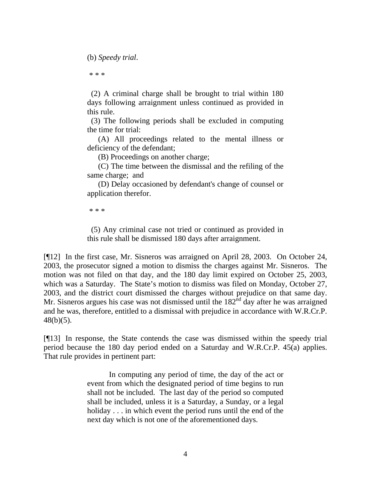(b) *Speedy trial*.

\* \* \*

 (2) A criminal charge shall be brought to trial within 180 days following arraignment unless continued as provided in this rule.

 (3) The following periods shall be excluded in computing the time for trial:

(A) All proceedings related to the mental illness or deficiency of the defendant;

(B) Proceedings on another charge;

(C) The time between the dismissal and the refiling of the same charge; and

(D) Delay occasioned by defendant's change of counsel or application therefor.

\* \* \*

 (5) Any criminal case not tried or continued as provided in this rule shall be dismissed 180 days after arraignment.

[¶12] In the first case, Mr. Sisneros was arraigned on April 28, 2003. On October 24, 2003, the prosecutor signed a motion to dismiss the charges against Mr. Sisneros. The motion was not filed on that day, and the 180 day limit expired on October 25, 2003, which was a Saturday. The State's motion to dismiss was filed on Monday, October 27, 2003, and the district court dismissed the charges without prejudice on that same day. Mr. Sisneros argues his case was not dismissed until the  $182<sup>nd</sup>$  day after he was arraigned and he was, therefore, entitled to a dismissal with prejudice in accordance with W.R.Cr.P.  $48(b)(5)$ .

[¶13] In response, the State contends the case was dismissed within the speedy trial period because the 180 day period ended on a Saturday and W.R.Cr.P. 45(a) applies. That rule provides in pertinent part:

> In computing any period of time, the day of the act or event from which the designated period of time begins to run shall not be included. The last day of the period so computed shall be included, unless it is a Saturday, a Sunday, or a legal holiday . . . in which event the period runs until the end of the next day which is not one of the aforementioned days.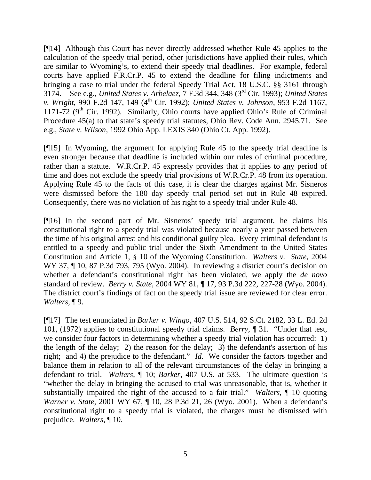[¶14] Although this Court has never directly addressed whether Rule 45 applies to the calculation of the speedy trial period, other jurisdictions have applied their rules, which are similar to Wyoming's, to extend their speedy trial deadlines. For example, federal courts have applied F.R.Cr.P. 45 to extend the deadline for filing indictments and bringing a case to trial under the federal Speedy Trial Act, 18 U.S.C. §§ 3161 through 3174. See e.g., *United States v. Arbelaez,* 7 F.3d 344, 348 (3rd Cir. 1993); *United States v. Wright, 990 F.2d 147, 149 (4<sup>th</sup> Cir. 1992); <i>United States v. Johnson, 953 F.2d 1167,* 1171-72 ( $9<sup>th</sup>$  Cir. 1992). Similarly, Ohio courts have applied Ohio's Rule of Criminal Procedure 45(a) to that state's speedy trial statutes, Ohio Rev. Code Ann. 2945.71. See e.g., *State v. Wilson,* 1992 Ohio App. LEXIS 340 (Ohio Ct. App. 1992).

[¶15] In Wyoming, the argument for applying Rule 45 to the speedy trial deadline is even stronger because that deadline is included within our rules of criminal procedure, rather than a statute. W.R.Cr.P. 45 expressly provides that it applies to any period of time and does not exclude the speedy trial provisions of W.R.Cr.P. 48 from its operation. Applying Rule 45 to the facts of this case, it is clear the charges against Mr. Sisneros were dismissed before the 180 day speedy trial period set out in Rule 48 expired. Consequently, there was no violation of his right to a speedy trial under Rule 48.

[¶16] In the second part of Mr. Sisneros' speedy trial argument, he claims his constitutional right to a speedy trial was violated because nearly a year passed between the time of his original arrest and his conditional guilty plea. Every criminal defendant is entitled to a speedy and public trial under the Sixth Amendment to the United States Constitution and Article 1, § 10 of the Wyoming Constitution. *Walters v. State,* 2004 WY 37, ¶ 10, 87 P.3d 793, 795 (Wyo. 2004). In reviewing a district court's decision on whether a defendant's constitutional right has been violated, we apply the *de novo* standard of review. *Berry v. State,* 2004 WY 81, ¶ 17, 93 P.3d 222, 227-28 (Wyo. 2004). The district court's findings of fact on the speedy trial issue are reviewed for clear error. *Walters,* ¶ 9.

[¶17] The test enunciated in *Barker v. Wingo,* 407 U.S. 514, 92 S.Ct. 2182, 33 L. Ed. 2d 101, (1972) applies to constitutional speedy trial claims. *Berry,* ¶ 31. "Under that test, we consider four factors in determining whether a speedy trial violation has occurred: 1) the length of the delay; 2) the reason for the delay; 3) the defendant's assertion of his right; and 4) the prejudice to the defendant." *Id.* We consider the factors together and balance them in relation to all of the relevant circumstances of the delay in bringing a defendant to trial. *Walters,* ¶ 10; *Barker,* 407 U.S. at 533. The ultimate question is "whether the delay in bringing the accused to trial was unreasonable, that is, whether it substantially impaired the right of the accused to a fair trial." *Walters*, ¶ 10 quoting *Warner v. State,* 2001 WY 67, ¶ 10, 28 P.3d 21, 26 (Wyo. 2001). When a defendant's constitutional right to a speedy trial is violated, the charges must be dismissed with prejudice. *Walters,* ¶ 10.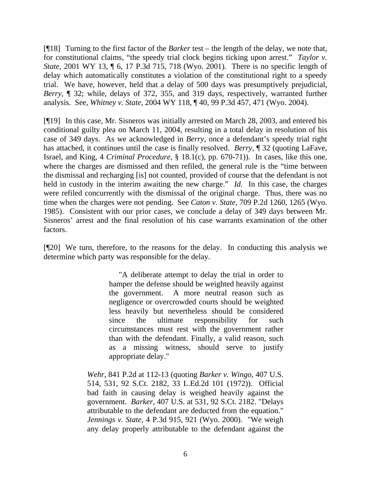[¶18] Turning to the first factor of the *Barker* test – the length of the delay, we note that, for constitutional claims, "the speedy trial clock begins ticking upon arrest." *Taylor v. State,* 2001 WY 13,  $\parallel$  6, 17 P.3d 715, 718 (Wyo. 2001). There is no specific length of delay which automatically constitutes a violation of the constitutional right to a speedy trial. We have, however, held that a delay of 500 days was presumptively prejudicial, *Berry,* ¶ 32; while, delays of 372, 355, and 319 days, respectively, warranted further analysis. See, *Whitney v. State,* 2004 WY 118, ¶ 40, 99 P.3d 457, 471 (Wyo. 2004).

[¶19] In this case, Mr. Sisneros was initially arrested on March 28, 2003, and entered his conditional guilty plea on March 11, 2004, resulting in a total delay in resolution of his case of 349 days. As we acknowledged in *Berry,* once a defendant's speedy trial right has attached, it continues until the case is finally resolved. *Berry,* ¶ 32 (quoting LaFave, Israel, and King, 4 *Criminal Procedure*, § 18.1(c), pp. 670-71)). In cases, like this one, where the charges are dismissed and then refiled, the general rule is the "time between the dismissal and recharging [is] not counted, provided of course that the defendant is not held in custody in the interim awaiting the new charge." *Id.* In this case, the charges were refiled concurrently with the dismissal of the original charge. Thus, there was no time when the charges were not pending. See *Caton v. State,* 709 P.2d 1260, 1265 (Wyo. 1985). Consistent with our prior cases, we conclude a delay of 349 days between Mr. Sisneros' arrest and the final resolution of his case warrants examination of the other factors.

[¶20] We turn, therefore, to the reasons for the delay. In conducting this analysis we determine which party was responsible for the delay.

> "A deliberate attempt to delay the trial in order to hamper the defense should be weighted heavily against the government. A more neutral reason such as negligence or overcrowded courts should be weighted less heavily but nevertheless should be considered since the ultimate responsibility for such circumstances must rest with the government rather than with the defendant. Finally, a valid reason, such as a missing witness, should serve to justify appropriate delay."

*Wehr*, 841 P.2d at 112-13 (quoting *Barker v. Wingo*, 407 U.S. 514, 531, 92 S.Ct. 2182, 33 L.Ed.2d 101 (1972)). Official bad faith in causing delay is weighed heavily against the government. *Barker*, 407 U.S. at 531, 92 S.Ct. 2182. "Delays attributable to the defendant are deducted from the equation." *Jennings v. State*, 4 P.3d 915, 921 (Wyo. 2000). "We weigh any delay properly attributable to the defendant against the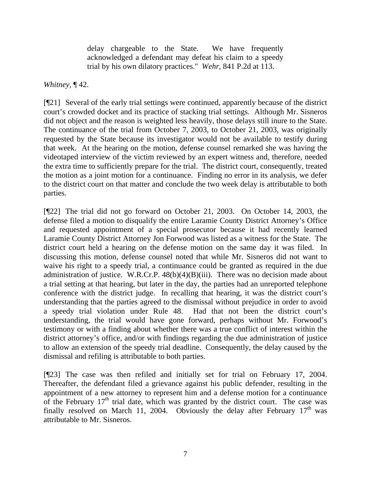delay chargeable to the State. We have frequently acknowledged a defendant may defeat his claim to a speedy trial by his own dilatory practices." *Wehr*, 841 P.2d at 113.

*Whitney,* ¶ 42.

[¶21] Several of the early trial settings were continued, apparently because of the district court's crowded docket and its practice of stacking trial settings. Although Mr. Sisneros did not object and the reason is weighted less heavily, those delays still inure to the State. The continuance of the trial from October 7, 2003, to October 21, 2003, was originally requested by the State because its investigator would not be available to testify during that week. At the hearing on the motion, defense counsel remarked she was having the videotaped interview of the victim reviewed by an expert witness and, therefore, needed the extra time to sufficiently prepare for the trial. The district court, consequently, treated the motion as a joint motion for a continuance. Finding no error in its analysis, we defer to the district court on that matter and conclude the two week delay is attributable to both parties.

[¶22] The trial did not go forward on October 21, 2003. On October 14, 2003, the defense filed a motion to disqualify the entire Laramie County District Attorney's Office and requested appointment of a special prosecutor because it had recently learned Laramie County District Attorney Jon Forwood was listed as a witness for the State. The district court held a hearing on the defense motion on the same day it was filed. In discussing this motion, defense counsel noted that while Mr. Sisneros did not want to waive his right to a speedy trial, a continuance could be granted as required in the due administration of justice. W.R.Cr.P. 48(b)(4)(B)(iii). There was no decision made about a trial setting at that hearing, but later in the day, the parties had an unreported telephone conference with the district judge. In recalling that hearing, it was the district court's understanding that the parties agreed to the dismissal without prejudice in order to avoid a speedy trial violation under Rule 48. Had that not been the district court's understanding, the trial would have gone forward, perhaps without Mr. Forwood's testimony or with a finding about whether there was a true conflict of interest within the district attorney's office, and/or with findings regarding the due administration of justice to allow an extension of the speedy trial deadline. Consequently, the delay caused by the dismissal and refiling is attributable to both parties.

[¶23] The case was then refiled and initially set for trial on February 17, 2004. Thereafter, the defendant filed a grievance against his public defender, resulting in the appointment of a new attorney to represent him and a defense motion for a continuance of the February  $17<sup>th</sup>$  trial date, which was granted by the district court. The case was finally resolved on March 11, 2004. Obviously the delay after February  $17<sup>th</sup>$  was attributable to Mr. Sisneros.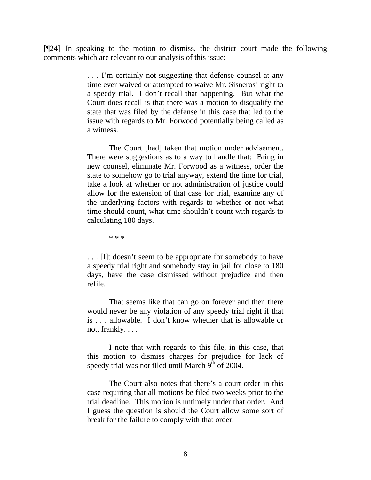[¶24] In speaking to the motion to dismiss, the district court made the following comments which are relevant to our analysis of this issue:

> . . . I'm certainly not suggesting that defense counsel at any time ever waived or attempted to waive Mr. Sisneros' right to a speedy trial. I don't recall that happening. But what the Court does recall is that there was a motion to disqualify the state that was filed by the defense in this case that led to the issue with regards to Mr. Forwood potentially being called as a witness.

> The Court [had] taken that motion under advisement. There were suggestions as to a way to handle that: Bring in new counsel, eliminate Mr. Forwood as a witness, order the state to somehow go to trial anyway, extend the time for trial, take a look at whether or not administration of justice could allow for the extension of that case for trial, examine any of the underlying factors with regards to whether or not what time should count, what time shouldn't count with regards to calculating 180 days.

> > \* \* \*

. . . [I]t doesn't seem to be appropriate for somebody to have a speedy trial right and somebody stay in jail for close to 180 days, have the case dismissed without prejudice and then refile.

That seems like that can go on forever and then there would never be any violation of any speedy trial right if that is . . . allowable. I don't know whether that is allowable or not, frankly. . . .

I note that with regards to this file, in this case, that this motion to dismiss charges for prejudice for lack of speedy trial was not filed until March  $9<sup>th</sup>$  of 2004.

 The Court also notes that there's a court order in this case requiring that all motions be filed two weeks prior to the trial deadline. This motion is untimely under that order. And I guess the question is should the Court allow some sort of break for the failure to comply with that order.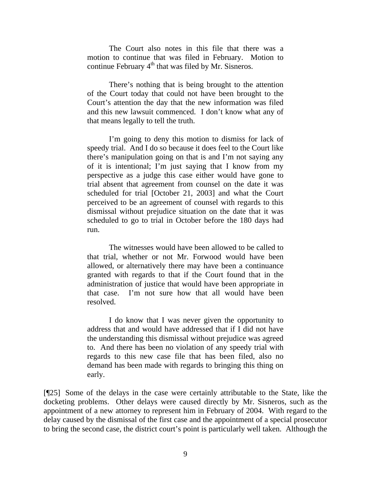The Court also notes in this file that there was a motion to continue that was filed in February. Motion to continue February  $4<sup>th</sup>$  that was filed by Mr. Sisneros.

 There's nothing that is being brought to the attention of the Court today that could not have been brought to the Court's attention the day that the new information was filed and this new lawsuit commenced. I don't know what any of that means legally to tell the truth.

I'm going to deny this motion to dismiss for lack of speedy trial. And I do so because it does feel to the Court like there's manipulation going on that is and I'm not saying any of it is intentional; I'm just saying that I know from my perspective as a judge this case either would have gone to trial absent that agreement from counsel on the date it was scheduled for trial [October 21, 2003] and what the Court perceived to be an agreement of counsel with regards to this dismissal without prejudice situation on the date that it was scheduled to go to trial in October before the 180 days had run.

The witnesses would have been allowed to be called to that trial, whether or not Mr. Forwood would have been allowed, or alternatively there may have been a continuance granted with regards to that if the Court found that in the administration of justice that would have been appropriate in that case. I'm not sure how that all would have been resolved.

I do know that I was never given the opportunity to address that and would have addressed that if I did not have the understanding this dismissal without prejudice was agreed to. And there has been no violation of any speedy trial with regards to this new case file that has been filed, also no demand has been made with regards to bringing this thing on early.

[¶25] Some of the delays in the case were certainly attributable to the State, like the docketing problems. Other delays were caused directly by Mr. Sisneros, such as the appointment of a new attorney to represent him in February of 2004. With regard to the delay caused by the dismissal of the first case and the appointment of a special prosecutor to bring the second case, the district court's point is particularly well taken. Although the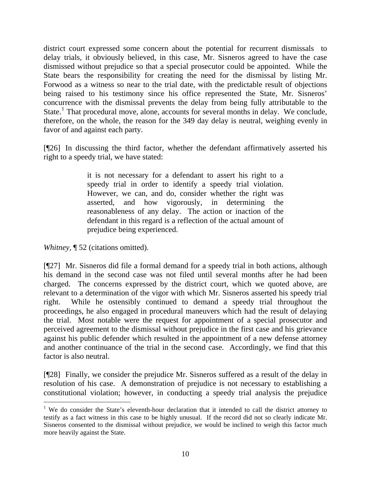district court expressed some concern about the potential for recurrent dismissals to delay trials, it obviously believed, in this case, Mr. Sisneros agreed to have the case dismissed without prejudice so that a special prosecutor could be appointed. While the State bears the responsibility for creating the need for the dismissal by listing Mr. Forwood as a witness so near to the trial date, with the predictable result of objections being raised to his testimony since his office represented the State, Mr. Sisneros' concurrence with the dismissal prevents the delay from being fully attributable to the State.<sup>[1](#page-11-0)</sup> That procedural move, alone, accounts for several months in delay. We conclude, therefore, on the whole, the reason for the 349 day delay is neutral, weighing evenly in favor of and against each party.

[¶26] In discussing the third factor, whether the defendant affirmatively asserted his right to a speedy trial, we have stated:

> it is not necessary for a defendant to assert his right to a speedy trial in order to identify a speedy trial violation. However, we can, and do, consider whether the right was asserted, and how vigorously, in determining the reasonableness of any delay. The action or inaction of the defendant in this regard is a reflection of the actual amount of prejudice being experienced.

*Whitney,* **[52** (citations omitted).

l

[¶27] Mr. Sisneros did file a formal demand for a speedy trial in both actions, although his demand in the second case was not filed until several months after he had been charged. The concerns expressed by the district court, which we quoted above, are relevant to a determination of the vigor with which Mr. Sisneros asserted his speedy trial right. While he ostensibly continued to demand a speedy trial throughout the proceedings, he also engaged in procedural maneuvers which had the result of delaying the trial. Most notable were the request for appointment of a special prosecutor and perceived agreement to the dismissal without prejudice in the first case and his grievance against his public defender which resulted in the appointment of a new defense attorney and another continuance of the trial in the second case. Accordingly, we find that this factor is also neutral.

[¶28] Finally, we consider the prejudice Mr. Sisneros suffered as a result of the delay in resolution of his case. A demonstration of prejudice is not necessary to establishing a constitutional violation; however, in conducting a speedy trial analysis the prejudice

<span id="page-11-0"></span><sup>&</sup>lt;sup>1</sup> We do consider the State's eleventh-hour declaration that it intended to call the district attorney to testify as a fact witness in this case to be highly unusual. If the record did not so clearly indicate Mr. Sisneros consented to the dismissal without prejudice, we would be inclined to weigh this factor much more heavily against the State.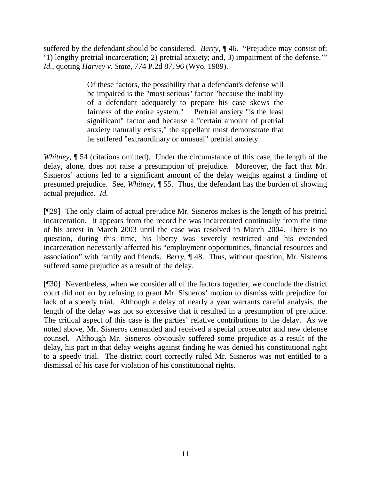suffered by the defendant should be considered. *Berry,* ¶ 46. "Prejudice may consist of: '1) lengthy pretrial incarceration; 2) pretrial anxiety; and, 3) impairment of the defense.'" *Id.,* quoting *Harvey v. State,* 774 P.2d 87, 96 (Wyo. 1989).

> Of these factors, the possibility that a defendant's defense will be impaired is the "most serious" factor "because the inability of a defendant adequately to prepare his case skews the fairness of the entire system." Pretrial anxiety "is the least significant" factor and because a "certain amount of pretrial anxiety naturally exists," the appellant must demonstrate that he suffered "extraordinary or unusual" pretrial anxiety.

*Whitney*,  $\P$  54 (citations omitted). Under the circumstance of this case, the length of the delay, alone, does not raise a presumption of prejudice. Moreover, the fact that Mr. Sisneros' actions led to a significant amount of the delay weighs against a finding of presumed prejudice. See, *Whitney,* ¶ 55. Thus, the defendant has the burden of showing actual prejudice. *Id.* 

[¶29] The only claim of actual prejudice Mr. Sisneros makes is the length of his pretrial incarceration. It appears from the record he was incarcerated continually from the time of his arrest in March 2003 until the case was resolved in March 2004. There is no question, during this time, his liberty was severely restricted and his extended incarceration necessarily affected his "employment opportunities, financial resources and association" with family and friends. *Berry,* ¶ 48. Thus, without question, Mr. Sisneros suffered some prejudice as a result of the delay.

[¶30] Nevertheless, when we consider all of the factors together, we conclude the district court did not err by refusing to grant Mr. Sisneros' motion to dismiss with prejudice for lack of a speedy trial. Although a delay of nearly a year warrants careful analysis, the length of the delay was not so excessive that it resulted in a presumption of prejudice. The critical aspect of this case is the parties' relative contributions to the delay. As we noted above, Mr. Sisneros demanded and received a special prosecutor and new defense counsel. Although Mr. Sisneros obviously suffered some prejudice as a result of the delay, his part in that delay weighs against finding he was denied his constitutional right to a speedy trial. The district court correctly ruled Mr. Sisneros was not entitled to a dismissal of his case for violation of his constitutional rights.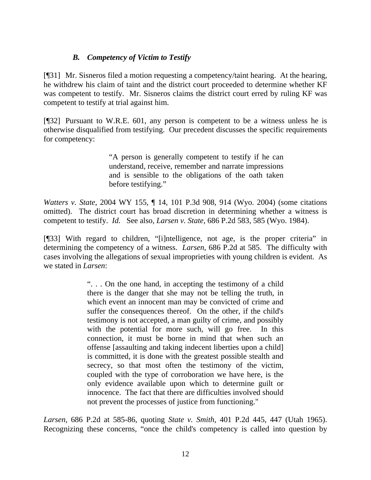# *B. Competency of Victim to Testify*

[¶31] Mr. Sisneros filed a motion requesting a competency/taint hearing. At the hearing, he withdrew his claim of taint and the district court proceeded to determine whether KF was competent to testify. Mr. Sisneros claims the district court erred by ruling KF was competent to testify at trial against him.

[¶32] Pursuant to W.R.E. 601, any person is competent to be a witness unless he is otherwise disqualified from testifying. Our precedent discusses the specific requirements for competency:

> "A person is generally competent to testify if he can understand, receive, remember and narrate impressions and is sensible to the obligations of the oath taken before testifying."

*Watters v. State,* 2004 WY 155, ¶ 14, 101 P.3d 908, 914 (Wyo. 2004) (some citations omitted). The district court has broad discretion in determining whether a witness is competent to testify. *Id.* See also*, Larsen v. State,* 686 P.2d 583, 585 (Wyo. 1984).

[¶33] With regard to children, "[i]ntelligence, not age, is the proper criteria" in determining the competency of a witness. *Larsen*, 686 P.2d at 585. The difficulty with cases involving the allegations of sexual improprieties with young children is evident. As we stated in *Larsen*:

> ". . . On the one hand, in accepting the testimony of a child there is the danger that she may not be telling the truth, in which event an innocent man may be convicted of crime and suffer the consequences thereof. On the other, if the child's testimony is not accepted, a man guilty of crime, and possibly with the potential for more such, will go free. In this connection, it must be borne in mind that when such an offense [assaulting and taking indecent liberties upon a child] is committed, it is done with the greatest possible stealth and secrecy, so that most often the testimony of the victim, coupled with the type of corroboration we have here, is the only evidence available upon which to determine guilt or innocence. The fact that there are difficulties involved should not prevent the processes of justice from functioning."

*Larsen,* 686 P.2d at 585-86, quoting *State v. Smith*, 401 P.2d 445, 447 (Utah 1965). Recognizing these concerns, "once the child's competency is called into question by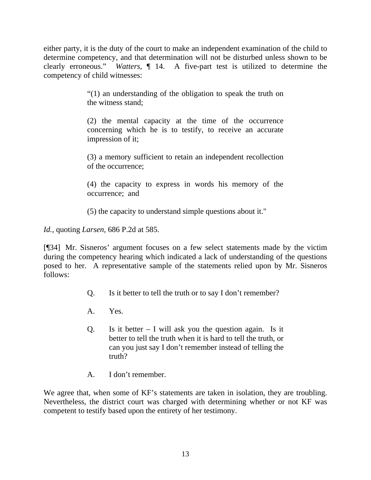either party, it is the duty of the court to make an independent examination of the child to determine competency, and that determination will not be disturbed unless shown to be clearly erroneous." *Watters,* ¶ 14. A five-part test is utilized to determine the competency of child witnesses:

> "(1) an understanding of the obligation to speak the truth on the witness stand;

> (2) the mental capacity at the time of the occurrence concerning which he is to testify, to receive an accurate impression of it;

> (3) a memory sufficient to retain an independent recollection of the occurrence;

> (4) the capacity to express in words his memory of the occurrence; and

(5) the capacity to understand simple questions about it."

*Id.,* quoting *Larsen*, 686 P.2d at 585.

[¶34] Mr. Sisneros' argument focuses on a few select statements made by the victim during the competency hearing which indicated a lack of understanding of the questions posed to her. A representative sample of the statements relied upon by Mr. Sisneros follows:

- Q. Is it better to tell the truth or to say I don't remember?
- A. Yes.
- Q. Is it better  $I$  will ask you the question again. Is it better to tell the truth when it is hard to tell the truth, or can you just say I don't remember instead of telling the truth?
- A. I don't remember.

We agree that, when some of KF's statements are taken in isolation, they are troubling. Nevertheless, the district court was charged with determining whether or not KF was competent to testify based upon the entirety of her testimony.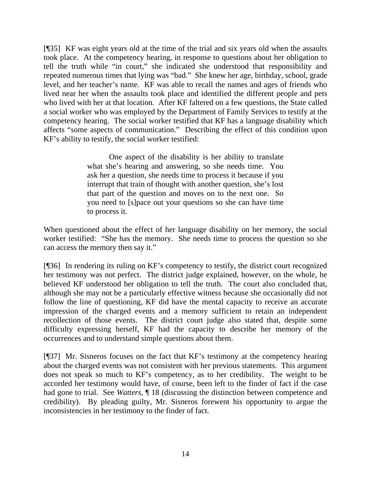[¶35] KF was eight years old at the time of the trial and six years old when the assaults took place. At the competency hearing, in response to questions about her obligation to tell the truth while "in court," she indicated she understood that responsibility and repeated numerous times that lying was "bad." She knew her age, birthday, school, grade level, and her teacher's name. KF was able to recall the names and ages of friends who lived near her when the assaults took place and identified the different people and pets who lived with her at that location. After KF faltered on a few questions, the State called a social worker who was employed by the Department of Family Services to testify at the competency hearing. The social worker testified that KF has a language disability which affects "some aspects of communication." Describing the effect of this condition upon KF's ability to testify, the social worker testified:

> One aspect of the disability is her ability to translate what she's hearing and answering, so she needs time. You ask her a question, she needs time to process it because if you interrupt that train of thought with another question, she's lost that part of the question and moves on to the next one. So you need to [s]pace out your questions so she can have time to process it.

When questioned about the effect of her language disability on her memory, the social worker testified: "She has the memory. She needs time to process the question so she can access the memory then say it."

[¶36] In rendering its ruling on KF's competency to testify, the district court recognized her testimony was not perfect. The district judge explained, however, on the whole, he believed KF understood her obligation to tell the truth. The court also concluded that, although she may not be a particularly effective witness because she occasionally did not follow the line of questioning, KF did have the mental capacity to receive an accurate impression of the charged events and a memory sufficient to retain an independent recollection of those events. The district court judge also stated that, despite some difficulty expressing herself, KF had the capacity to describe her memory of the occurrences and to understand simple questions about them.

[¶37] Mr. Sisneros focuses on the fact that KF's testimony at the competency hearing about the charged events was not consistent with her previous statements. This argument does not speak so much to KF's competency, as to her credibility. The weight to be accorded her testimony would have, of course, been left to the finder of fact if the case had gone to trial. See *Watters,* ¶ 18 (discussing the distinction between competence and credibility). By pleading guilty, Mr. Sisneros forewent his opportunity to argue the inconsistencies in her testimony to the finder of fact.